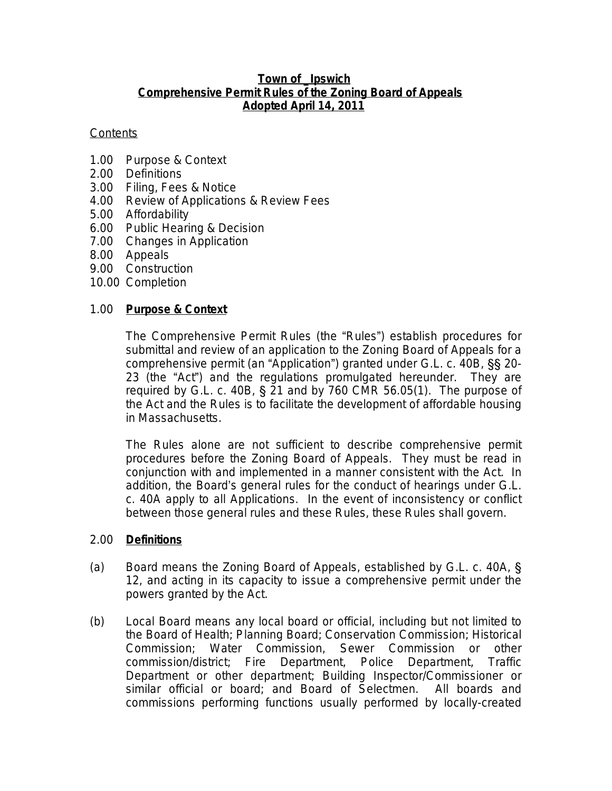#### **Town of \_Ipswich Comprehensive Permit Rules of the Zoning Board of Appeals Adopted April 14, 2011**

#### **Contents**

- 1.00 Purpose & Context
- 2.00 Definitions
- 3.00 Filing, Fees & Notice
- 4.00 Review of Applications & Review Fees
- 5.00 Affordability
- 6.00 Public Hearing & Decision
- 7.00 Changes in Application
- 8.00 Appeals
- 9.00 Construction
- 10.00 Completion

# 1.00 **Purpose & Context**

The Comprehensive Permit Rules (the "Rules") establish procedures for submittal and review of an application to the Zoning Board of Appeals for a comprehensive permit (an "Application") granted under G.L. c. 40B, §§ 20- 23 (the "Act") and the regulations promulgated hereunder. They are required by G.L. c. 40B, § 21 and by 760 CMR 56.05(1). The purpose of the Act and the Rules is to facilitate the development of affordable housing in Massachusetts.

The Rules alone are not sufficient to describe comprehensive permit procedures before the Zoning Board of Appeals. They must be read in conjunction with and implemented in a manner consistent with the Act. In addition, the Board's general rules for the conduct of hearings under G.L. c. 40A apply to all Applications. In the event of inconsistency or conflict between those general rules and these Rules, these Rules shall govern.

#### 2.00 **Definitions**

- (a) *Board* means the Zoning Board of Appeals, established by G.L. c. 40A, § 12, and acting in its capacity to issue a comprehensive permit under the powers granted by the Act.
- (b) *Local Board* means any local board or official, including but not limited to the Board of Health; Planning Board; Conservation Commission; Historical Commission; Water Commission, Sewer Commission or other commission/district; Fire Department, Police Department, Traffic Department or other department; Building Inspector/Commissioner or similar official or board; and Board of Selectmen. All boards and commissions performing functions usually performed by locally-created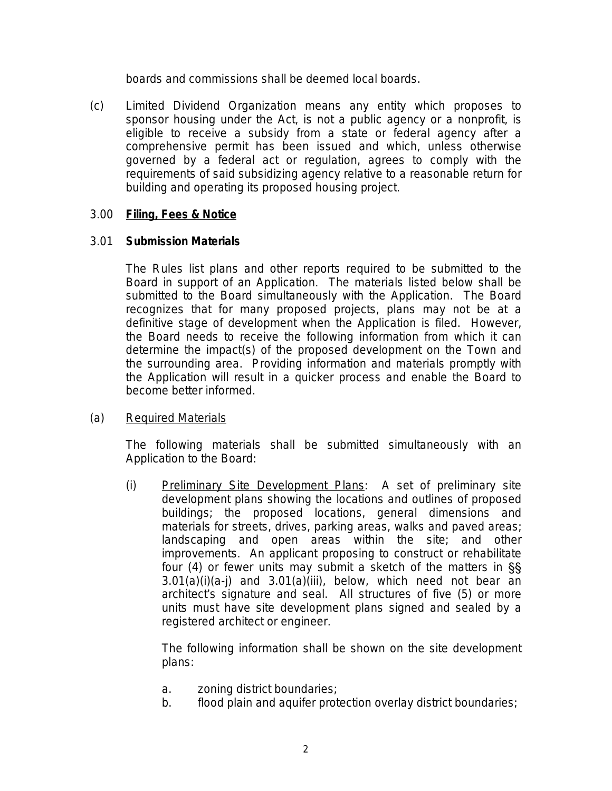boards and commissions shall be deemed local boards.

(c) *Limited Dividend Organization* means any entity which proposes to sponsor housing under the Act, is not a public agency or a nonprofit, is eligible to receive a subsidy from a state or federal agency after a comprehensive permit has been issued and which, unless otherwise governed by a federal act or regulation, agrees to comply with the requirements of said subsidizing agency relative to a reasonable return for building and operating its proposed housing project.

# 3.00 **Filing, Fees & Notice**

# 3.01 **Submission Materials**

The Rules list plans and other reports required to be submitted to the Board in support of an Application. The materials listed below shall be submitted to the Board simultaneously with the Application. The Board recognizes that for many proposed projects, plans may not be at a definitive stage of development when the Application is filed. However, the Board needs to receive the following information from which it can determine the impact(s) of the proposed development on the Town and the surrounding area. Providing information and materials promptly with the Application will result in a quicker process and enable the Board to become better informed.

# (a) Required Materials

The following materials shall be submitted simultaneously with an Application to the Board:

(i) Preliminary Site Development Plans: A set of preliminary site development plans showing the locations and outlines of proposed buildings; the proposed locations, general dimensions and materials for streets, drives, parking areas, walks and paved areas; landscaping and open areas within the site; and other improvements. An applicant proposing to construct or rehabilitate four (4) or fewer units may submit a sketch of the matters in §§  $3.01(a)(i)(a-i)$  and  $3.01(a)(iii)$ , below, which need not bear an architect's signature and seal. All structures of five (5) or more units must have site development plans signed and sealed by a registered architect or engineer.

The following information shall be shown on the site development plans:

- a. zoning district boundaries;
- b. flood plain and aquifer protection overlay district boundaries;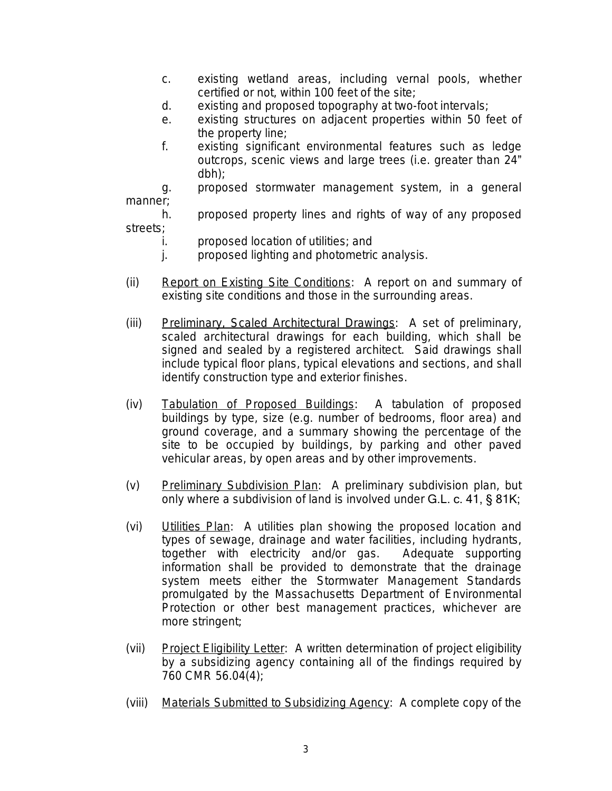- c. existing wetland areas, including vernal pools, whether certified or not, within 100 feet of the site;
- d. existing and proposed topography at two-foot intervals;
- e. existing structures on adjacent properties within 50 feet of the property line;
- f. existing significant environmental features such as ledge outcrops, scenic views and large trees (i.e. greater than 24" dbh);

g. proposed stormwater management system, in a general manner;

h. proposed property lines and rights of way of any proposed streets;

- i. proposed location of utilities; and
- j. proposed lighting and photometric analysis.
- (ii) Report on Existing Site Conditions: A report on and summary of existing site conditions and those in the surrounding areas.
- (iii) Preliminary, Scaled Architectural Drawings: A set of preliminary, scaled architectural drawings for each building, which shall be signed and sealed by a registered architect. Said drawings shall include typical floor plans, typical elevations and sections, and shall identify construction type and exterior finishes.
- (iv) Tabulation of Proposed Buildings: A tabulation of proposed buildings by type, size (e.g. number of bedrooms, floor area) and ground coverage, and a summary showing the percentage of the site to be occupied by buildings, by parking and other paved vehicular areas, by open areas and by other improvements.
- (v) Preliminary Subdivision Plan: A preliminary subdivision plan, but only where a subdivision of land is involved under G.L. c. 41, § 81K;
- (vi) Utilities Plan: A utilities plan showing the proposed location and types of sewage, drainage and water facilities, including hydrants, together with electricity and/or gas. Adequate supporting information shall be provided to demonstrate that the drainage system meets either the Stormwater Management Standards promulgated by the Massachusetts Department of Environmental Protection or other best management practices, whichever are more stringent;
- (vii) Project Eligibility Letter: A written determination of project eligibility by a subsidizing agency containing all of the findings required by 760 CMR 56.04(4);
- (viii) Materials Submitted to Subsidizing Agency: A complete copy of the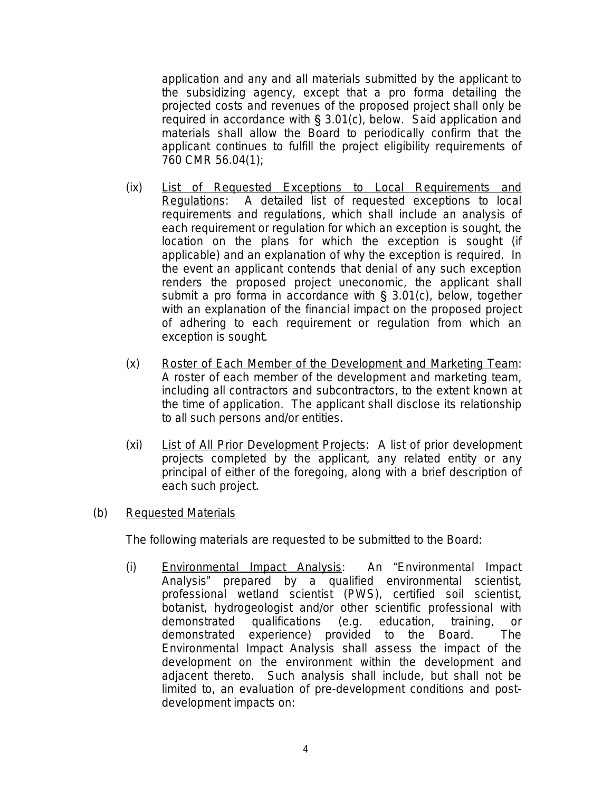application and any and all materials submitted by the applicant to the subsidizing agency, except that a *pro forma* detailing the projected costs and revenues of the proposed project shall only be required in accordance with § 3.01(c), below. Said application and materials shall allow the Board to periodically confirm that the applicant continues to fulfill the project eligibility requirements of 760 CMR 56.04(1);

- (ix) List of Requested Exceptions to Local Requirements and Regulations: A detailed list of requested exceptions to local requirements and regulations, which shall include an analysis of each requirement or regulation for which an exception is sought, the location on the plans for which the exception is sought (if applicable) and an explanation of why the exception is required. In the event an applicant contends that denial of any such exception renders the proposed project uneconomic, the applicant shall submit a *pro forma* in accordance with § 3.01(c), below, together with an explanation of the financial impact on the proposed project of adhering to each requirement or regulation from which an exception is sought.
- (x) Roster of Each Member of the Development and Marketing Team: A roster of each member of the development and marketing team, including all contractors and subcontractors, to the extent known at the time of application. The applicant shall disclose its relationship to all such persons and/or entities.
- (xi) List of All Prior Development Projects: A list of prior development projects completed by the applicant, any related entity or any principal of either of the foregoing, along with a brief description of each such project.
- (b) Requested Materials

The following materials are requested to be submitted to the Board:

(i) Environmental Impact Analysis: An "Environmental Impact Analysis" prepared by a qualified environmental scientist, professional wetland scientist (PWS), certified soil scientist, botanist, hydrogeologist and/or other scientific professional with demonstrated qualifications (e.g. education, training, or demonstrated experience) provided to the Board. The Environmental Impact Analysis shall assess the impact of the development on the environment within the development and adjacent thereto. Such analysis shall include, but shall not be limited to, an evaluation of pre-development conditions and postdevelopment impacts on: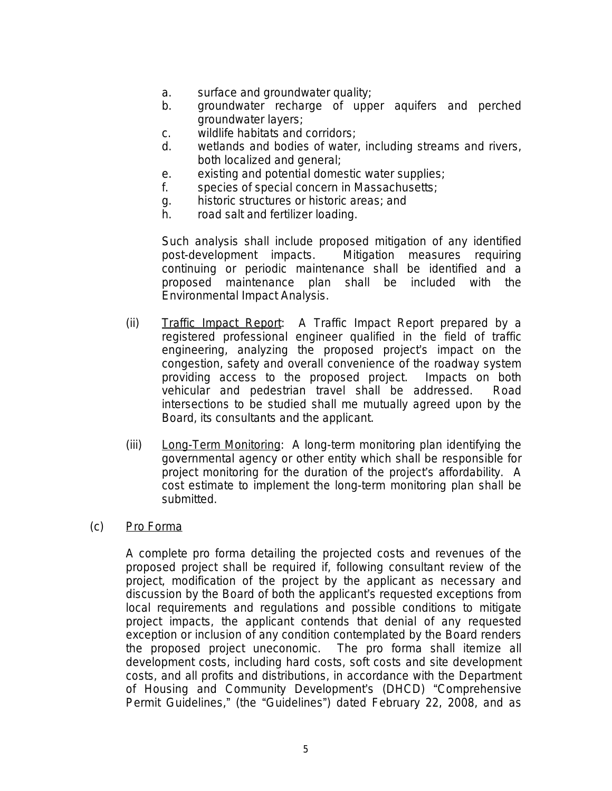- a. surface and groundwater quality;
- b. groundwater recharge of upper aquifers and perched groundwater layers;
- c. wildlife habitats and corridors;
- d. wetlands and bodies of water, including streams and rivers, both localized and general;
- e. existing and potential domestic water supplies;
- f. species of special concern in Massachusetts;
- g. historic structures or historic areas; and
- h. road salt and fertilizer loading.

Such analysis shall include proposed mitigation of any identified post-development impacts. Mitigation measures requiring continuing or periodic maintenance shall be identified and a proposed maintenance plan shall be included with the Environmental Impact Analysis.

- (ii) Traffic Impact Report: A Traffic Impact Report prepared by a registered professional engineer qualified in the field of traffic engineering, analyzing the proposed project's impact on the congestion, safety and overall convenience of the roadway system providing access to the proposed project. Impacts on both vehicular and pedestrian travel shall be addressed. Road intersections to be studied shall me mutually agreed upon by the Board, its consultants and the applicant.
- (iii) Long-Term Monitoring: A long-term monitoring plan identifying the governmental agency or other entity which shall be responsible for project monitoring for the duration of the project's affordability. A cost estimate to implement the long-term monitoring plan shall be submitted.
- (c) *Pro Forma*

A complete *pro forma* detailing the projected costs and revenues of the proposed project shall be required if, following consultant review of the project, modification of the project by the applicant as necessary and discussion by the Board of both the applicant's requested exceptions from local requirements and regulations and possible conditions to mitigate project impacts, the applicant contends that denial of any requested exception or inclusion of any condition contemplated by the Board renders the proposed project uneconomic. The *pro forma* shall itemize all development costs, including hard costs, soft costs and site development costs, and all profits and distributions, in accordance with the Department of Housing and Community Development's (DHCD) "Comprehensive Permit Guidelines," (the "Guidelines") dated February 22, 2008, and as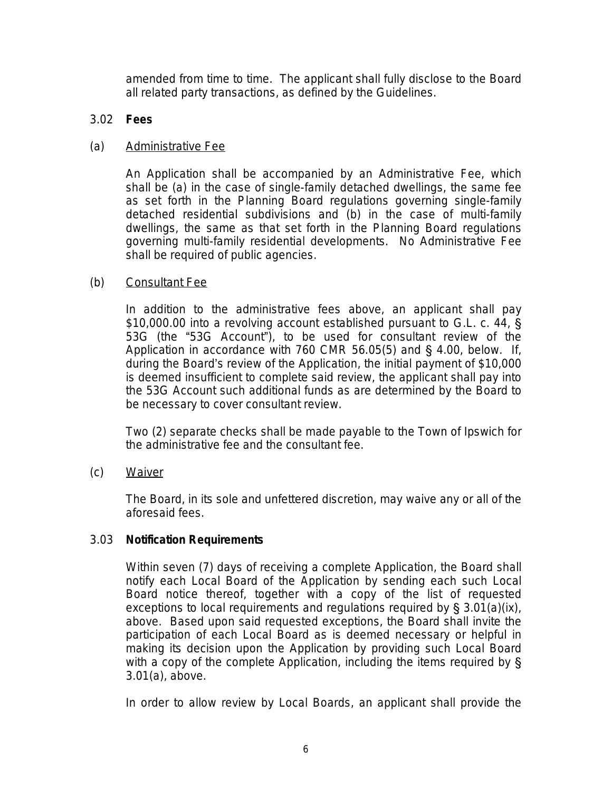amended from time to time. The applicant shall fully disclose to the Board all related party transactions, as defined by the Guidelines.

# 3.02 **Fees**

# (a) Administrative Fee

An Application shall be accompanied by an Administrative Fee, which shall be (a) in the case of single-family detached dwellings, the same fee as set forth in the Planning Board regulations governing single-family detached residential subdivisions and (b) in the case of multi-family dwellings, the same as that set forth in the Planning Board regulations governing multi-family residential developments. No Administrative Fee shall be required of public agencies.

# (b) Consultant Fee

In addition to the administrative fees above, an applicant shall pay \$10,000.00 into a revolving account established pursuant to G.L. c. 44, § 53G (the "53G Account"), to be used for consultant review of the Application in accordance with 760 CMR 56.05(5) and § 4.00, below. If, during the Board's review of the Application, the initial payment of \$10,000 is deemed insufficient to complete said review, the applicant shall pay into the 53G Account such additional funds as are determined by the Board to be necessary to cover consultant review.

Two (2) separate checks shall be made payable to the Town of Ipswich for the administrative fee and the consultant fee.

(c) Waiver

The Board, in its sole and unfettered discretion, may waive any or all of the aforesaid fees.

# 3.03 **Notification Requirements**

Within seven (7) days of receiving a complete Application, the Board shall notify each Local Board of the Application by sending each such Local Board notice thereof, together with a copy of the list of requested exceptions to local requirements and regulations required by § 3.01(a)(ix), above. Based upon said requested exceptions, the Board shall invite the participation of each Local Board as is deemed necessary or helpful in making its decision upon the Application by providing such Local Board with a copy of the complete Application, including the items required by § 3.01(a), above.

In order to allow review by Local Boards, an applicant shall provide the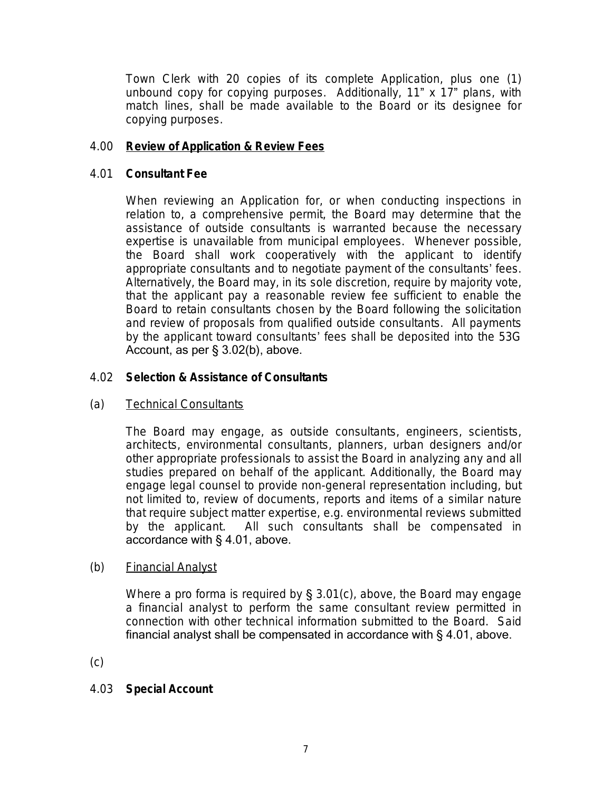Town Clerk with 20 copies of its complete Application, plus one (1) unbound copy for copying purposes. Additionally, 11" x 17" plans, with match lines, shall be made available to the Board or its designee for copying purposes.

# 4.00 **Review of Application & Review Fees**

#### 4.01 **Consultant Fee**

When reviewing an Application for, or when conducting inspections in relation to, a comprehensive permit, the Board may determine that the assistance of outside consultants is warranted because the necessary expertise is unavailable from municipal employees. Whenever possible, the Board shall work cooperatively with the applicant to identify appropriate consultants and to negotiate payment of the consultants' fees. Alternatively, the Board may, in its sole discretion, require by majority vote, that the applicant pay a reasonable review fee sufficient to enable the Board to retain consultants chosen by the Board following the solicitation and review of proposals from qualified outside consultants. All payments by the applicant toward consultants' fees shall be deposited into the 53G Account, as per § 3.02(b), above.

# 4.02 **Selection & Assistance of Consultants**

# (a) Technical Consultants

The Board may engage, as outside consultants, engineers, scientists, architects, environmental consultants, planners, urban designers and/or other appropriate professionals to assist the Board in analyzing any and all studies prepared on behalf of the applicant. Additionally, the Board may engage legal counsel to provide non-general representation including, but not limited to, review of documents, reports and items of a similar nature that require subject matter expertise, e.g. environmental reviews submitted by the applicant. All such consultants shall be compensated in accordance with § 4.01, above.

#### (b) Financial Analyst

Where a pro forma is required by § 3.01(c), above, the Board may engage a financial analyst to perform the same consultant review permitted in connection with other technical information submitted to the Board. Said financial analyst shall be compensated in accordance with § 4.01, above.

(c)

# 4.03 **Special Account**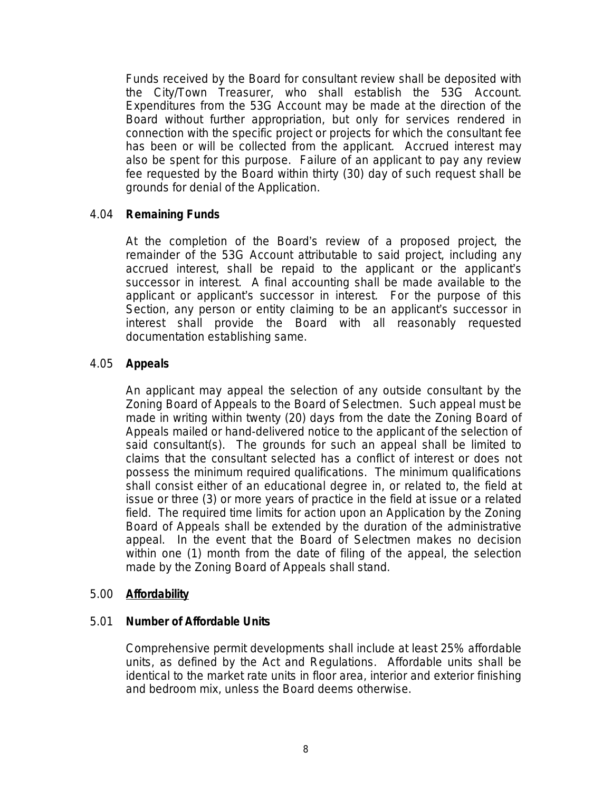Funds received by the Board for consultant review shall be deposited with the City/Town Treasurer, who shall establish the 53G Account. Expenditures from the 53G Account may be made at the direction of the Board without further appropriation, but only for services rendered in connection with the specific project or projects for which the consultant fee has been or will be collected from the applicant. Accrued interest may also be spent for this purpose. Failure of an applicant to pay any review fee requested by the Board within thirty (30) day of such request shall be grounds for denial of the Application.

#### 4.04 **Remaining Funds**

At the completion of the Board's review of a proposed project, the remainder of the 53G Account attributable to said project, including any accrued interest, shall be repaid to the applicant or the applicant's successor in interest. A final accounting shall be made available to the applicant or applicant's successor in interest. For the purpose of this Section, any person or entity claiming to be an applicant's successor in interest shall provide the Board with all reasonably requested documentation establishing same.

#### 4.05 **Appeals**

An applicant may appeal the selection of any outside consultant by the Zoning Board of Appeals to the Board of Selectmen. Such appeal must be made in writing within twenty (20) days from the date the Zoning Board of Appeals mailed or hand-delivered notice to the applicant of the selection of said consultant(s). The grounds for such an appeal shall be limited to claims that the consultant selected has a conflict of interest or does not possess the minimum required qualifications. The minimum qualifications shall consist either of an educational degree in, or related to, the field at issue or three (3) or more years of practice in the field at issue or a related field. The required time limits for action upon an Application by the Zoning Board of Appeals shall be extended by the duration of the administrative appeal. In the event that the Board of Selectmen makes no decision within one (1) month from the date of filing of the appeal, the selection made by the Zoning Board of Appeals shall stand.

#### 5.00 **Affordability**

#### 5.01 **Number of Affordable Units**

Comprehensive permit developments shall include at least 25% affordable units, as defined by the Act and Regulations. Affordable units shall be identical to the market rate units in floor area, interior and exterior finishing and bedroom mix, unless the Board deems otherwise.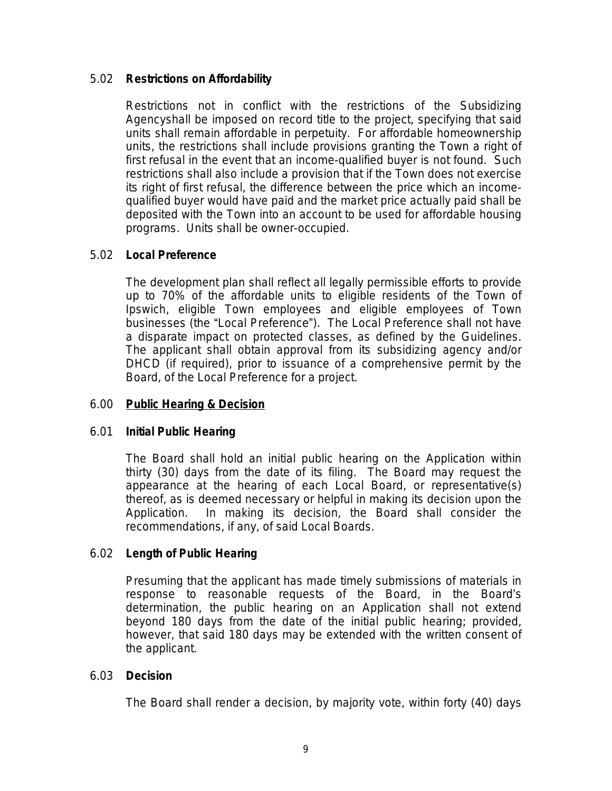# 5.02 **Restrictions on Affordability**

Restrictions not in conflict with the restrictions of the Subsidizing Agencyshall be imposed on record title to the project, specifying that said units shall remain affordable in perpetuity. For affordable homeownership units, the restrictions shall include provisions granting the Town a right of first refusal in the event that an income-qualified buyer is not found. Such restrictions shall also include a provision that if the Town does not exercise its right of first refusal, the difference between the price which an incomequalified buyer would have paid and the market price actually paid shall be deposited with the Town into an account to be used for affordable housing programs. Units shall be owner-occupied.

# 5.02 **Local Preference**

The development plan shall reflect all legally permissible efforts to provide up to 70% of the affordable units to eligible residents of the Town of Ipswich, eligible Town employees and eligible employees of Town businesses (the "Local Preference"). The Local Preference shall not have a disparate impact on protected classes, as defined by the Guidelines. The applicant shall obtain approval from its subsidizing agency and/or DHCD (if required), prior to issuance of a comprehensive permit by the Board, of the Local Preference for a project.

# 6.00 **Public Hearing & Decision**

# 6.01 **Initial Public Hearing**

The Board shall hold an initial public hearing on the Application within thirty (30) days from the date of its filing. The Board may request the appearance at the hearing of each Local Board, or representative(s) thereof, as is deemed necessary or helpful in making its decision upon the Application. In making its decision, the Board shall consider the recommendations, if any, of said Local Boards.

# 6.02 **Length of Public Hearing**

Presuming that the applicant has made timely submissions of materials in response to reasonable requests of the Board, in the Board's determination, the public hearing on an Application shall not extend beyond 180 days from the date of the initial public hearing; provided, however, that said 180 days may be extended with the written consent of the applicant.

# 6.03 **Decision**

The Board shall render a decision, by majority vote, within forty (40) days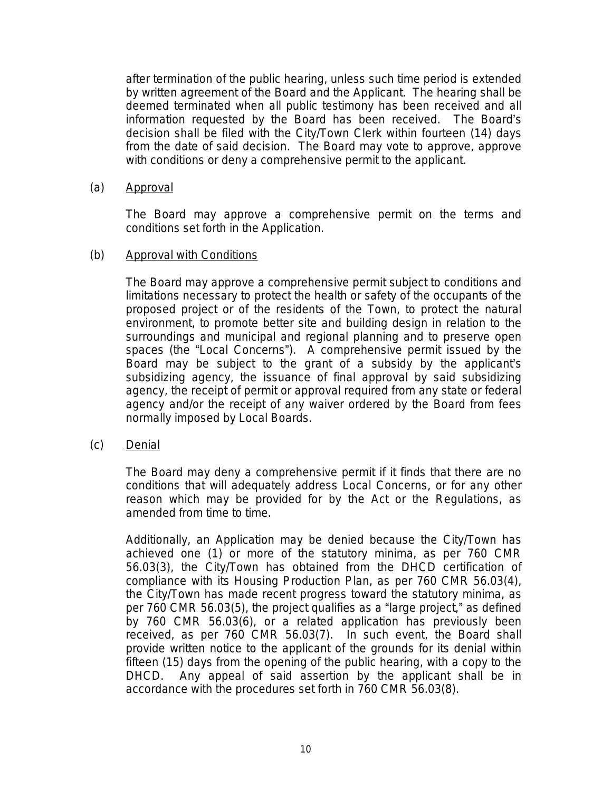after termination of the public hearing, unless such time period is extended by written agreement of the Board and the Applicant. The hearing shall be deemed terminated when all public testimony has been received and all information requested by the Board has been received. The Board's decision shall be filed with the City/Town Clerk within fourteen (14) days from the date of said decision. The Board may vote to approve, approve with conditions or deny a comprehensive permit to the applicant.

#### (a) Approval

The Board may approve a comprehensive permit on the terms and conditions set forth in the Application.

#### (b) Approval with Conditions

The Board may approve a comprehensive permit subject to conditions and limitations necessary to protect the health or safety of the occupants of the proposed project or of the residents of the Town, to protect the natural environment, to promote better site and building design in relation to the surroundings and municipal and regional planning and to preserve open spaces (the "Local Concerns"). A comprehensive permit issued by the Board may be subject to the grant of a subsidy by the applicant's subsidizing agency, the issuance of final approval by said subsidizing agency, the receipt of permit or approval required from any state or federal agency and/or the receipt of any waiver ordered by the Board from fees normally imposed by Local Boards.

(c) Denial

The Board may deny a comprehensive permit if it finds that there are no conditions that will adequately address Local Concerns, or for any other reason which may be provided for by the Act or the Regulations, as amended from time to time.

Additionally, an Application may be denied because the City/Town has achieved one (1) or more of the statutory minima, as per 760 CMR 56.03(3), the City/Town has obtained from the DHCD certification of compliance with its Housing Production Plan, as per 760 CMR 56.03(4), the City/Town has made recent progress toward the statutory minima, as per 760 CMR 56.03(5), the project qualifies as a "large project," as defined by 760 CMR 56.03(6), or a related application has previously been received, as per 760 CMR 56.03(7). In such event, the Board shall provide written notice to the applicant of the grounds for its denial within fifteen (15) days from the opening of the public hearing, with a copy to the DHCD. Any appeal of said assertion by the applicant shall be in accordance with the procedures set forth in 760 CMR 56.03(8).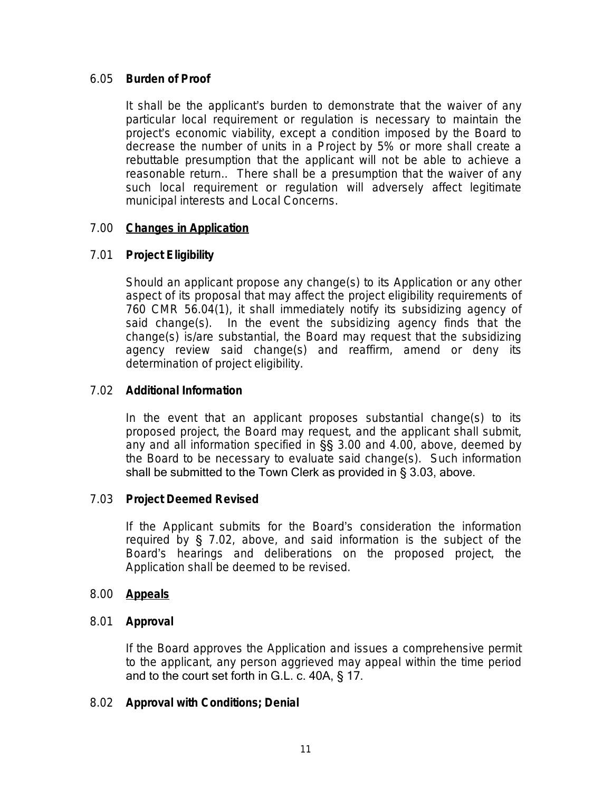#### 6.05 **Burden of Proof**

It shall be the applicant's burden to demonstrate that the waiver of any particular local requirement or regulation is necessary to maintain the project's economic viability, except a condition imposed by the Board to decrease the number of units in a Project by 5% or more shall create a rebuttable presumption that the applicant will not be able to achieve a reasonable return.. There shall be a presumption that the waiver of any such local requirement or regulation will adversely affect legitimate municipal interests and Local Concerns.

# 7.00 **Changes in Application**

#### 7.01 **Project Eligibility**

Should an applicant propose any change(s) to its Application or any other aspect of its proposal that may affect the project eligibility requirements of 760 CMR 56.04(1), it shall immediately notify its subsidizing agency of said change(s). In the event the subsidizing agency finds that the change(s) is/are substantial, the Board may request that the subsidizing agency review said change(s) and reaffirm, amend or deny its determination of project eligibility.

#### 7.02 **Additional Information**

In the event that an applicant proposes substantial change(s) to its proposed project, the Board may request, and the applicant shall submit, any and all information specified in §§ 3.00 and 4.00, above, deemed by the Board to be necessary to evaluate said change(s). Such information shall be submitted to the Town Clerk as provided in § 3.03, above.

#### 7.03 **Project Deemed Revised**

If the Applicant submits for the Board's consideration the information required by § 7.02, above, and said information is the subject of the Board's hearings and deliberations on the proposed project, the Application shall be deemed to be revised.

#### 8.00 **Appeals**

#### 8.01 **Approval**

If the Board approves the Application and issues a comprehensive permit to the applicant, any person aggrieved may appeal within the time period and to the court set forth in G.L. c. 40A, § 17.

#### 8.02 **Approval with Conditions; Denial**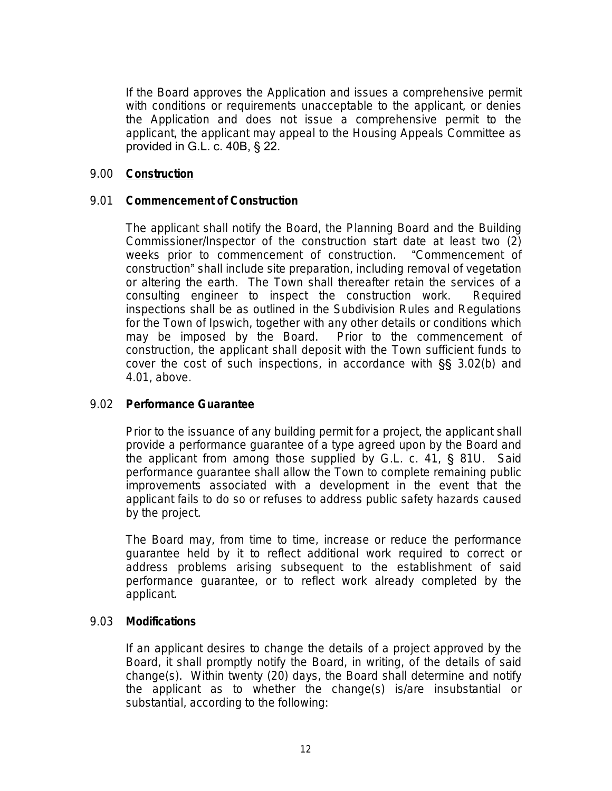If the Board approves the Application and issues a comprehensive permit with conditions or requirements unacceptable to the applicant, or denies the Application and does not issue a comprehensive permit to the applicant, the applicant may appeal to the Housing Appeals Committee as provided in G.L. c. 40B, § 22.

#### 9.00 **Construction**

#### 9.01 **Commencement of Construction**

The applicant shall notify the Board, the Planning Board and the Building Commissioner/Inspector of the construction start date at least two (2) weeks prior to commencement of construction. "Commencement of construction" shall include site preparation, including removal of vegetation or altering the earth. The Town shall thereafter retain the services of a consulting engineer to inspect the construction work. Required inspections shall be as outlined in the Subdivision Rules and Regulations for the Town of Ipswich, together with any other details or conditions which may be imposed by the Board. Prior to the commencement of construction, the applicant shall deposit with the Town sufficient funds to cover the cost of such inspections, in accordance with §§ 3.02(b) and 4.01, above.

# 9.02 **Performance Guarantee**

Prior to the issuance of any building permit for a project, the applicant shall provide a performance guarantee of a type agreed upon by the Board and the applicant from among those supplied by G.L. c. 41, § 81U. Said performance guarantee shall allow the Town to complete remaining public improvements associated with a development in the event that the applicant fails to do so or refuses to address public safety hazards caused by the project.

The Board may, from time to time, increase or reduce the performance guarantee held by it to reflect additional work required to correct or address problems arising subsequent to the establishment of said performance guarantee, or to reflect work already completed by the applicant.

#### 9.03 **Modifications**

If an applicant desires to change the details of a project approved by the Board, it shall promptly notify the Board, in writing, of the details of said change(s). Within twenty (20) days, the Board shall determine and notify the applicant as to whether the change(s) is/are insubstantial or substantial, according to the following: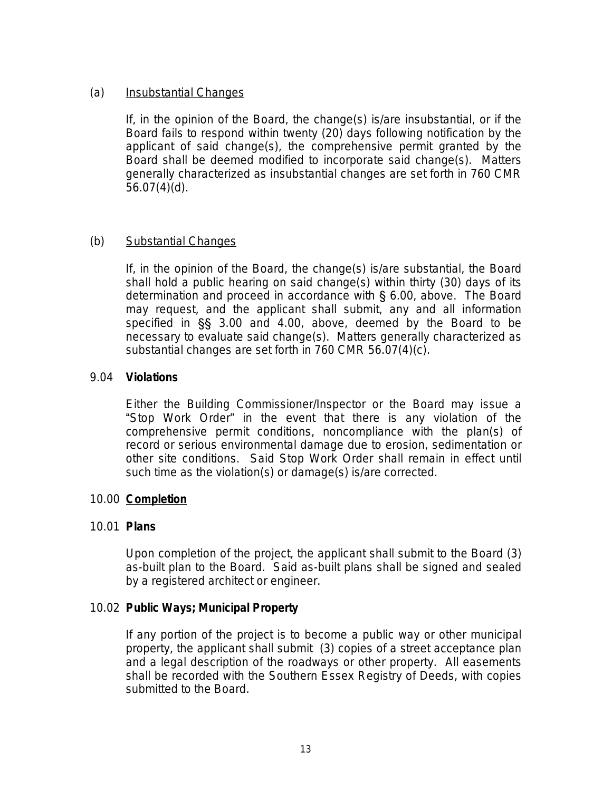# (a) Insubstantial Changes

If, in the opinion of the Board, the change(s) is/are insubstantial, or if the Board fails to respond within twenty (20) days following notification by the applicant of said change(s), the comprehensive permit granted by the Board shall be deemed modified to incorporate said change(s). Matters generally characterized as insubstantial changes are set forth in 760 CMR  $56.07(4)(d)$ .

# (b) Substantial Changes

If, in the opinion of the Board, the change(s) is/are substantial, the Board shall hold a public hearing on said change(s) within thirty (30) days of its determination and proceed in accordance with § 6.00, above. The Board may request, and the applicant shall submit, any and all information specified in §§ 3.00 and 4.00, above, deemed by the Board to be necessary to evaluate said change(s). Matters generally characterized as substantial changes are set forth in 760 CMR 56.07(4)(c).

# 9.04 **Violations**

Either the Building Commissioner/Inspector or the Board may issue a "Stop Work Order" in the event that there is any violation of the comprehensive permit conditions, noncompliance with the plan(s) of record or serious environmental damage due to erosion, sedimentation or other site conditions. Said Stop Work Order shall remain in effect until such time as the violation(s) or damage(s) is/are corrected.

# 10.00 **Completion**

# 10.01 **Plans**

Upon completion of the project, the applicant shall submit to the Board (3) as-built plan to the Board. Said as-built plans shall be signed and sealed by a registered architect or engineer.

# 10.02 **Public Ways; Municipal Property**

If any portion of the project is to become a public way or other municipal property, the applicant shall submit (3) copies of a street acceptance plan and a legal description of the roadways or other property. All easements shall be recorded with the Southern Essex Registry of Deeds, with copies submitted to the Board.